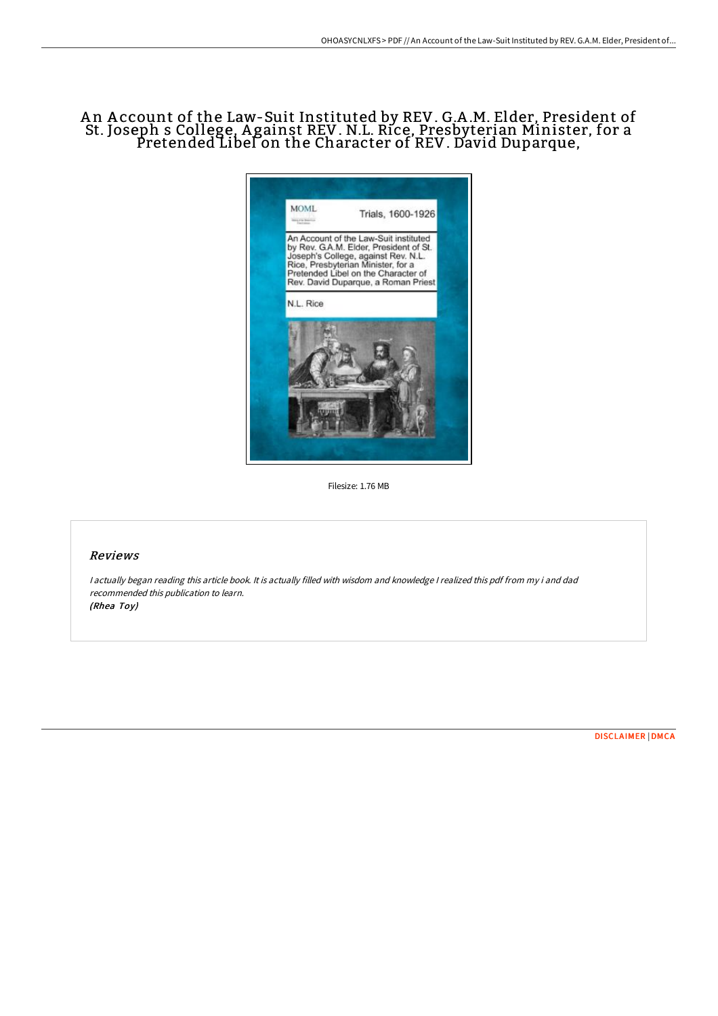## A n A ccount of the Law-Suit Instituted by REV. G.A .M. Elder, President of St. Joseph s College, A gainst REV. N.L. Rice, Presbyterian Minister, for a Pretended Libel on the Character of REV. David Duparque,



Filesize: 1.76 MB

## Reviews

<sup>I</sup> actually began reading this article book. It is actually filled with wisdom and knowledge <sup>I</sup> realized this pdf from my i and dad recommended this publication to learn. (Rhea Toy)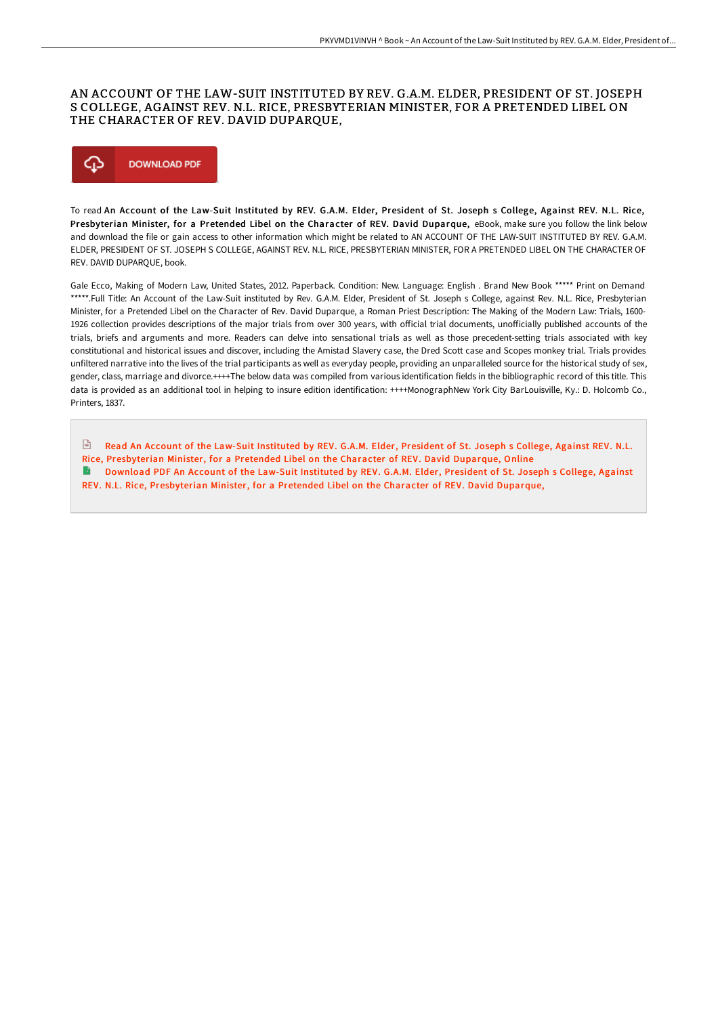## AN ACCOUNT OF THE LAW-SUIT INSTITUTED BY REV. G.A.M. ELDER, PRESIDENT OF ST. JOSEPH S COLLEGE, AGAINST REV. N.L. RICE, PRESBYTERIAN MINISTER, FOR A PRETENDED LIBEL ON THE CHARACTER OF REV. DAVID DUPARQUE,



To read An Account of the Law-Suit Instituted by REV. G.A.M. Elder, President of St. Joseph s College, Against REV. N.L. Rice, Presbyterian Minister, for a Pretended Libel on the Character of REV. David Duparque, eBook, make sure you follow the link below and download the file or gain access to other information which might be related to AN ACCOUNT OF THE LAW-SUIT INSTITUTED BY REV. G.A.M. ELDER, PRESIDENT OF ST. JOSEPH S COLLEGE, AGAINST REV. N.L. RICE, PRESBYTERIAN MINISTER, FOR A PRETENDED LIBEL ON THE CHARACTER OF REV. DAVID DUPARQUE, book.

Gale Ecco, Making of Modern Law, United States, 2012. Paperback. Condition: New. Language: English . Brand New Book \*\*\*\*\* Print on Demand \*\*\*\*\*.Full Title: An Account of the Law-Suit instituted by Rev. G.A.M. Elder, President of St. Joseph s College, against Rev. N.L. Rice, Presbyterian Minister, for a Pretended Libel on the Character of Rev. David Duparque, a Roman Priest Description: The Making of the Modern Law: Trials, 1600- 1926 collection provides descriptions of the major trials from over 300 years, with official trial documents, unofficially published accounts of the trials, briefs and arguments and more. Readers can delve into sensational trials as well as those precedent-setting trials associated with key constitutional and historical issues and discover, including the Amistad Slavery case, the Dred Scott case and Scopes monkey trial. Trials provides unfiltered narrative into the lives of the trial participants as well as everyday people, providing an unparalleled source for the historical study of sex, gender, class, marriage and divorce.++++The below data was compiled from various identification fields in the bibliographic record of this title. This data is provided as an additional tool in helping to insure edition identification: ++++MonographNew York City BarLouisville, Ky.: D. Holcomb Co., Printers, 1837.

 $\boxed{m}$ Read An Account of the Law-Suit Instituted by REV. G.A.M. Elder, President of St. Joseph s College, Against REV. N.L. Rice, [Presbyterian](http://albedo.media/an-account-of-the-law-suit-instituted-by-rev-g-a.html) Minister, for a Pretended Libel on the Character of REV. David Duparque, Online Download PDF An Account of the Law-Suit Instituted by REV. G.A.M. Elder, President of St. Joseph s College, Against  $\rightarrow$ REV. N.L. Rice, [Presbyterian](http://albedo.media/an-account-of-the-law-suit-instituted-by-rev-g-a.html) Minister, for a Pretended Libel on the Character of REV. David Duparque,